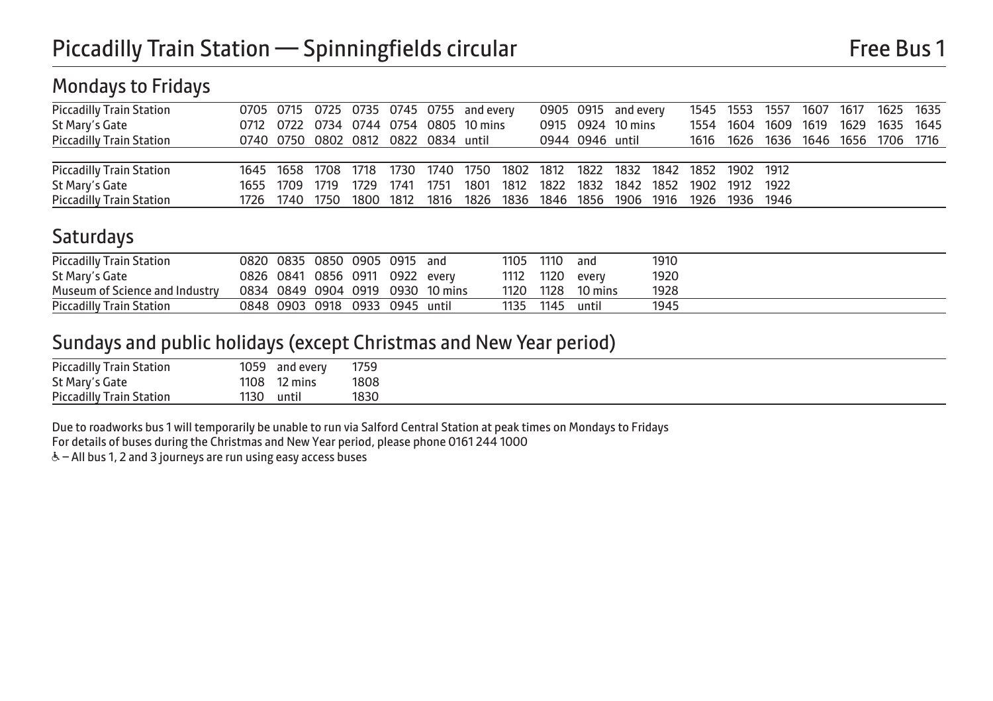### Mondays to Fridays

| <b>Piccadilly Train Station</b> |                | 0705 0715 0725 0735 0745 0755 and every |      |      |      |      | 0905 0915 and every                                                        |                   |      |      |           |  | 1545 1553 1557 1607 1617 1625 1635 |  |
|---------------------------------|----------------|-----------------------------------------|------|------|------|------|----------------------------------------------------------------------------|-------------------|------|------|-----------|--|------------------------------------|--|
| St Mary's Gate                  |                | 0712 0722 0734 0744 0754 0805 10 mins   |      |      |      |      |                                                                            | 0915 0924 10 mins | 1554 | 1604 | 1609 1619 |  | 1629 1635 1645                     |  |
| <b>Piccadilly Train Station</b> |                | 0740 0750 0802 0812 0822 0834 until     |      |      |      |      | 0944 0946 until                                                            |                   |      |      |           |  | 1616 1626 1636 1646 1656 1706 1716 |  |
|                                 |                |                                         |      |      |      |      |                                                                            |                   |      |      |           |  |                                    |  |
| <b>Piccadilly Train Station</b> |                |                                         |      |      |      |      | 1645 1658 1708 1718 1730 1740 1750 1802 1812 1822 1832 1842 1852 1902 1912 |                   |      |      |           |  |                                    |  |
| St Mary's Gate                  | 1655 1709 1719 |                                         | 1729 | 1741 | 1751 | 1801 | 1812 1822 1832 1842 1852 1902 1912 1922                                    |                   |      |      |           |  |                                    |  |
| <b>Piccadilly Train Station</b> |                |                                         |      |      |      |      | 1726 1740 1750 1800 1812 1816 1826 1836 1846 1856 1906 1916 1926 1936 1946 |                   |      |      |           |  |                                    |  |

### **Saturdays**

| <b>Piccadilly Train Station</b> |                                |  | 0820 0835 0850 0905 0915 and |                                  | 1105 1110 | and             | 1910 |
|---------------------------------|--------------------------------|--|------------------------------|----------------------------------|-----------|-----------------|------|
| St Mary's Gate                  | 0826 0841 0856 0911 0922 every |  |                              |                                  |           | 1112 1120 every | 1920 |
| Museum of Science and Industry  |                                |  |                              | 0834 0849 0904 0919 0930 10 mins | 1120 1128 | 10 mins         | 1928 |
| <b>Piccadilly Train Station</b> | 0848 0903 0918 0933 0945 until |  |                              |                                  | 1135 1145 | until           | 1945 |

### Sundays and public holidays (except Christmas and New Year period)

| <b>Piccadilly Train Station</b> | 1059 | and every | 1759 |
|---------------------------------|------|-----------|------|
| St Mary's Gate                  | 1108 | 12 mins   | 1808 |
| <b>Piccadilly Train Station</b> | 1130 | until     | 1830 |

Due to roadworks bus 1 will temporarily be unable to run via Salford Central Station at peak times on Mondays to Fridays

For details of buses during the Christmas and New Year period, please phone 0161 244 1000

& - All bus 1, 2 and 3 journeys are run using easy access buses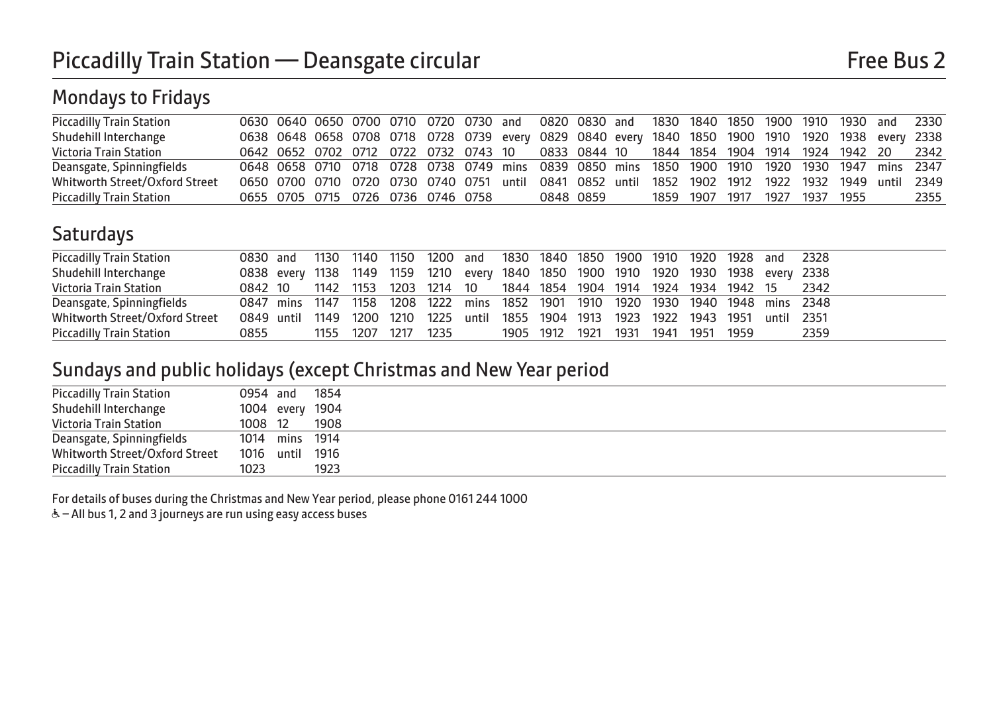# Mondays to Fridays

| <b>Piccadilly Train Station</b> |                                                                                                   |  |  |  |           |  |                               |  |  | 0630 0640 0650 0700 0710 0720 0730 and 0820 0830 and 1830 1840 1850 1900 1910 1930 and 2330       |      |
|---------------------------------|---------------------------------------------------------------------------------------------------|--|--|--|-----------|--|-------------------------------|--|--|---------------------------------------------------------------------------------------------------|------|
| Shudehill Interchange           |                                                                                                   |  |  |  |           |  |                               |  |  | 0638 0648 0658 0708 0718 0728 0739 every 0829 0840 every 1840 1850 1900 1910 1920 1938 every 2338 |      |
| Victoria Train Station          |                                                                                                   |  |  |  |           |  |                               |  |  | 0642 0652 0702 0712 0722 0732 0743 10 0833 0844 10 1844 1854 1904 1914 1924 1942 20 2342          |      |
| Deansgate, Spinningfields       | 0648 0658 0710 0718 0728 0738 0749 mins 0839 0850 mins 1850 1900 1910 1920 1930 1947 mins 2347    |  |  |  |           |  |                               |  |  |                                                                                                   |      |
| Whitworth Street/Oxford Street  | 0650 0700 0710 0720 0730 0740 0751 until 0841 0852 until 1852 1902 1912 1922 1932 1949 until 2349 |  |  |  |           |  |                               |  |  |                                                                                                   |      |
| <b>Piccadilly Train Station</b> | 0655 0705 0715 0726 0736 0746 0758                                                                |  |  |  | 0848 0859 |  | 1859 1907 1917 1927 1937 1955 |  |  |                                                                                                   | 2355 |

## **Saturdays**

| <b>Piccadilly Train Station</b> |                                                                                    |  |  | 0830 and 1130 1140 1150 1200 and 1830 1840 1850 1900 1910 1920 1928 and 2328 |                                    |  |  |  |      |
|---------------------------------|------------------------------------------------------------------------------------|--|--|------------------------------------------------------------------------------|------------------------------------|--|--|--|------|
| Shudehill Interchange           | 0838 every 1138 1149 1159 1210 every 1840 1850 1900 1910 1920 1930 1938 every 2338 |  |  |                                                                              |                                    |  |  |  |      |
| Victoria Train Station          | 0842 10 1142 1153 1203 1214 10 1844 1854 1904 1914 1924 1934 1942 15 2342          |  |  |                                                                              |                                    |  |  |  |      |
| Deansgate, Spinningfields       | 0847 mins 1147 1158 1208 1222 mins 1852 1901 1910 1920 1930 1940 1948 mins 2348    |  |  |                                                                              |                                    |  |  |  |      |
| Whitworth Street/Oxford Street  | 0849 until 1149 1200 1210 1225 until 1855 1904 1913 1923 1922 1943 1951 until 2351 |  |  |                                                                              |                                    |  |  |  |      |
| <b>Piccadilly Train Station</b> | 0855                                                                               |  |  | 1155 1207 1217 1235                                                          | 1905 1912 1921 1931 1941 1951 1959 |  |  |  | 2359 |

#### Sundays and public holidays (except Christmas and New Year period

| <b>Piccadilly Train Station</b> | 0954 and        | 1854 |  |
|---------------------------------|-----------------|------|--|
| Shudehill Interchange           | 1004 every 1904 |      |  |
| Victoria Train Station          | 1008 12         | 1908 |  |
| Deansgate, Spinningfields       | 1014 mins 1914  |      |  |
| Whitworth Street/Oxford Street  | 1016 until 1916 |      |  |
| <b>Piccadilly Train Station</b> | 1023            | 1923 |  |

For details of buses during the Christmas and New Year period, please phone 0161 244 1000

 $\&$  – All bus 1, 2 and 3 journeys are run using easy access buses